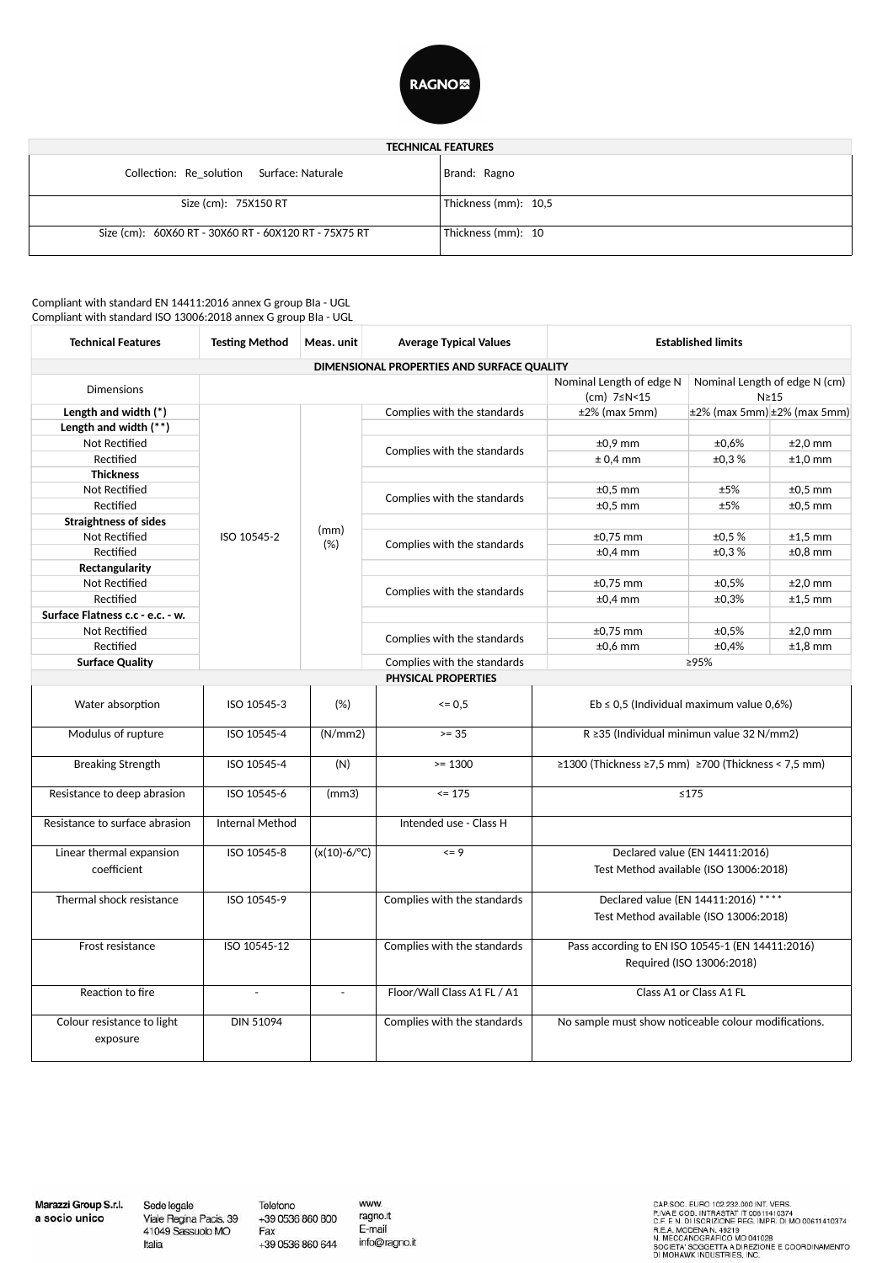

| <b>TECHNICAL FEATURES</b>                             |                      |  |  |
|-------------------------------------------------------|----------------------|--|--|
| Collection: Re_solution Surface: Naturale             | Brand: Ragno         |  |  |
| Size (cm): 75X150 RT                                  | Thickness (mm): 10,5 |  |  |
| Size (cm): 60X60 RT - 30X60 RT - 60X120 RT - 75X75 RT | Thickness (mm): 10   |  |  |

Compliant with standard EN 14411:2016 annex G group Bla - UGL Compliant with standard ISO 13006:2018 annex G group Bla - UGL

| <b>Technical Features</b>        | <b>Testing Method</b>    | Meas. unit               | <b>Average Typical Values</b>                                                             | <b>Established limits</b>                            |                                |                                         |
|----------------------------------|--------------------------|--------------------------|-------------------------------------------------------------------------------------------|------------------------------------------------------|--------------------------------|-----------------------------------------|
|                                  |                          |                          | DIMENSIONAL PROPERTIES AND SURFACE QUALITY                                                |                                                      |                                |                                         |
| <b>Dimensions</b>                |                          |                          | Nominal Length of edge N (cm)<br>Nominal Length of edge N<br>(cm) 7≤N<15<br>$N \geq 15$   |                                                      |                                |                                         |
| Length and width (*)             |                          |                          | Complies with the standards                                                               | $±2%$ (max 5mm)                                      |                                | $\pm 2\%$ (max 5mm) $\pm 2\%$ (max 5mm) |
| Length and width $(**)$          |                          |                          | Complies with the standards<br>Complies with the standards<br>Complies with the standards |                                                      |                                |                                         |
| Not Rectified                    |                          |                          |                                                                                           | $±0,9$ mm                                            | ±0,6%                          | $±2,0$ mm                               |
| Rectified                        |                          |                          |                                                                                           | $± 0,4$ mm                                           | ±0,3%                          | $±1,0$ mm                               |
| <b>Thickness</b>                 |                          |                          |                                                                                           |                                                      |                                |                                         |
| Not Rectified                    |                          |                          |                                                                                           | $±0.5$ mm                                            | ±5%                            | $±0,5$ mm                               |
| Rectified                        |                          |                          |                                                                                           | $±0.5$ mm                                            | ±5%                            | $±0,5$ mm                               |
| <b>Straightness of sides</b>     |                          |                          |                                                                                           |                                                      |                                |                                         |
| Not Rectified                    | ISO 10545-2              | (mm)<br>(%)              |                                                                                           | $±0,75$ mm                                           | ±0.5%                          | $±1,5$ mm                               |
| Rectified                        |                          |                          |                                                                                           | $±0,4$ mm                                            | ±0,3%                          | $±0,8$ mm                               |
| Rectangularity                   |                          |                          |                                                                                           |                                                      |                                |                                         |
| Not Rectified                    |                          |                          | Complies with the standards                                                               | $±0,75$ mm                                           | ±0,5%                          | $±2,0$ mm                               |
| Rectified                        |                          |                          |                                                                                           | $±0,4$ mm                                            | ±0,3%                          | $±1,5$ mm                               |
| Surface Flatness c.c - e.c. - w. |                          |                          |                                                                                           |                                                      |                                |                                         |
| Not Rectified                    |                          |                          | Complies with the standards                                                               | $\pm 0,75$ mm                                        | ±0,5%                          | $±2,0$ mm                               |
| Rectified                        |                          |                          |                                                                                           | $±0,6$ mm                                            | ±0,4%                          | $±1,8$ mm                               |
| <b>Surface Quality</b>           |                          |                          | Complies with the standards                                                               | ≥95%                                                 |                                |                                         |
|                                  |                          |                          | <b>PHYSICAL PROPERTIES</b>                                                                |                                                      |                                |                                         |
| Water absorption                 | ISO 10545-3              | (%)                      | $\leq 0.5$                                                                                | $Eb \leq 0.5$ (Individual maximum value 0.6%)        |                                |                                         |
| Modulus of rupture               | ISO 10545-4              | (N/mm 2)                 | $>= 35$                                                                                   | R ≥35 (Individual minimun value 32 N/mm2)            |                                |                                         |
| <b>Breaking Strength</b>         | ISO 10545-4              | (N)                      | $>= 1300$                                                                                 | ≥1300 (Thickness ≥7,5 mm) ≥700 (Thickness < 7,5 mm)  |                                |                                         |
| Resistance to deep abrasion      | ISO 10545-6              | (mm3)                    | $= 175$                                                                                   |                                                      | $≤175$                         |                                         |
| Resistance to surface abrasion   | <b>Internal Method</b>   |                          | Intended use - Class H                                                                    |                                                      |                                |                                         |
| Linear thermal expansion         | ISO 10545-8              | $(x(10)-6)^{\circ}C)$    | $= 9$                                                                                     |                                                      | Declared value (EN 14411:2016) |                                         |
| coefficient                      |                          |                          |                                                                                           | Test Method available (ISO 13006:2018)               |                                |                                         |
| Thermal shock resistance         | ISO 10545-9              |                          | Complies with the standards                                                               | Declared value (EN 14411:2016) ****                  |                                |                                         |
|                                  |                          |                          |                                                                                           | Test Method available (ISO 13006:2018)               |                                |                                         |
| Frost resistance                 | ISO 10545-12             |                          | Complies with the standards                                                               | Pass according to EN ISO 10545-1 (EN 14411:2016)     |                                |                                         |
|                                  |                          |                          |                                                                                           |                                                      | Required (ISO 13006:2018)      |                                         |
| Reaction to fire                 | $\overline{\phantom{a}}$ | $\overline{\phantom{a}}$ | Floor/Wall Class A1 FL / A1                                                               |                                                      | Class A1 or Class A1 FL        |                                         |
| Colour resistance to light       | <b>DIN 51094</b>         |                          | Complies with the standards                                                               | No sample must show noticeable colour modifications. |                                |                                         |
| exposure                         |                          |                          |                                                                                           |                                                      |                                |                                         |

Marazzi Group S.r.l. a socio unico

Sede legale Viale Regina Pacis, 39<br>41049 Sassuolo MO Italia

Telefono

Fax

www. ragno.it +39 0536 860 800 E-mail +39 0536 860 644 info@ragno.it CAP SOC. EURO 102.232.000 INT. VERS.<br>P.IVA E COD. INTRASTAT IT 00611410374<br>C.F. E N. DI ISCRIZIONE REG. IMPR. DI MO 00611410374<br>R.E.A. MODENA N. 49219<br>N. MECCANOGRAFICO MO 041028<br>SOCIETA' SOGGETTA A DIREZIONE E COORDINAMEN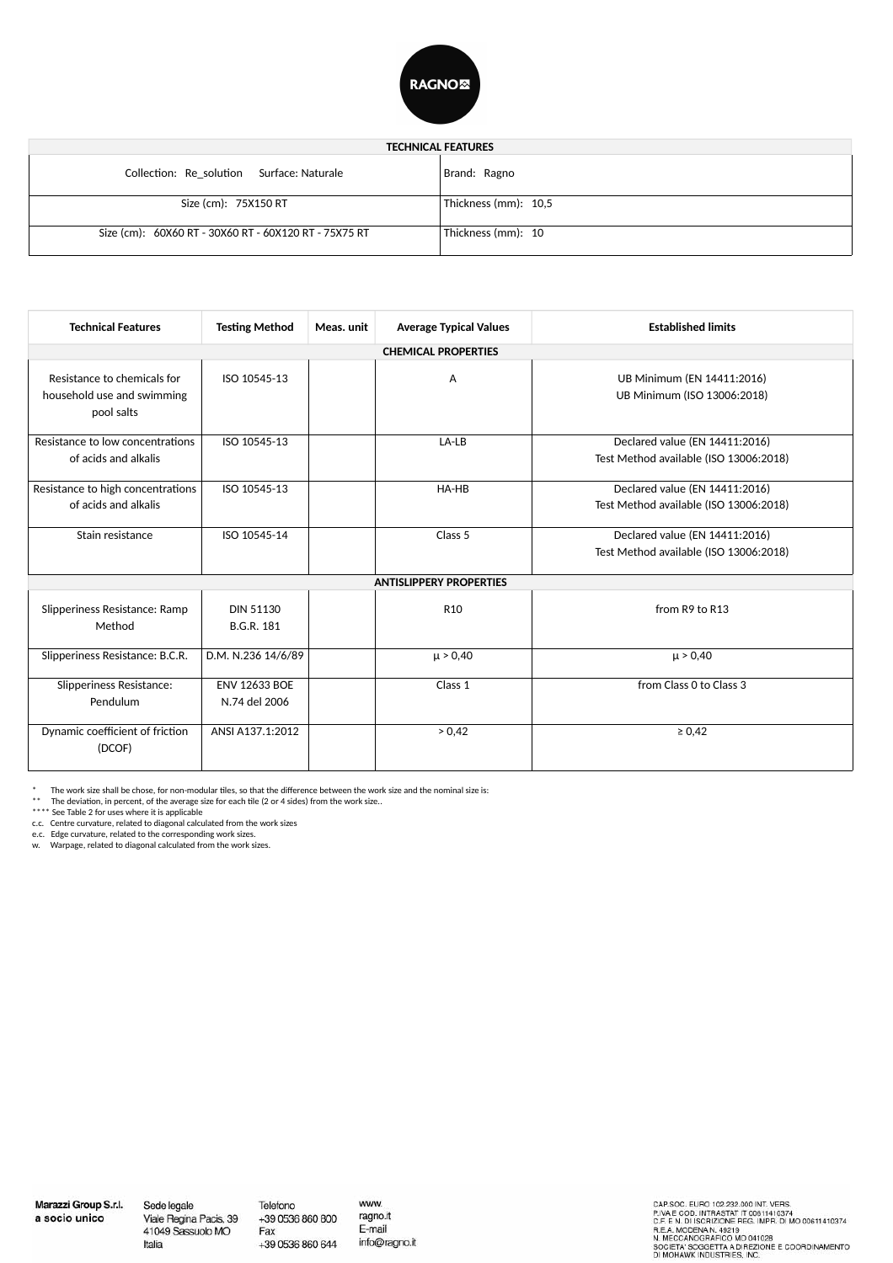

## **TECHNICAL FEATURES** Collection: Re\_solution Surface: Naturale Size (cm): 75X150 RT Size (cm): 60X60 RT - 30X60 RT - 60X120 RT - 75X75 RT Brand: Ragno Thickness (mm): 10,5 Thickness (mm): 10

| <b>Technical Features</b>                                               | <b>Testing Method</b>                 | Meas, unit | <b>Average Typical Values</b>  | <b>Established limits</b>                                                |  |
|-------------------------------------------------------------------------|---------------------------------------|------------|--------------------------------|--------------------------------------------------------------------------|--|
| <b>CHEMICAL PROPERTIES</b>                                              |                                       |            |                                |                                                                          |  |
| Resistance to chemicals for<br>household use and swimming<br>pool salts | ISO 10545-13                          |            | A                              | UB Minimum (EN 14411:2016)<br>UB Minimum (ISO 13006:2018)                |  |
| Resistance to low concentrations<br>of acids and alkalis                | ISO 10545-13                          |            | LA-LB                          | Declared value (EN 14411:2016)<br>Test Method available (ISO 13006:2018) |  |
| Resistance to high concentrations<br>of acids and alkalis               | ISO 10545-13                          |            | HA-HB                          | Declared value (EN 14411:2016)<br>Test Method available (ISO 13006:2018) |  |
| Stain resistance                                                        | ISO 10545-14                          |            | Class 5                        | Declared value (EN 14411:2016)<br>Test Method available (ISO 13006:2018) |  |
|                                                                         |                                       |            | <b>ANTISLIPPERY PROPERTIES</b> |                                                                          |  |
| Slipperiness Resistance: Ramp<br>Method                                 | <b>DIN 51130</b><br><b>B.G.R. 181</b> |            | R <sub>10</sub>                | from R9 to R13                                                           |  |
| Slipperiness Resistance: B.C.R.                                         | D.M. N.236 14/6/89                    |            | $\mu > 0,40$                   | $\mu > 0,40$                                                             |  |
| <b>Slipperiness Resistance:</b><br>Pendulum                             | <b>ENV 12633 BOE</b><br>N.74 del 2006 |            | Class 1                        | from Class 0 to Class 3                                                  |  |
| Dynamic coefficient of friction<br>(DCOF)                               | ANSI A137.1:2012                      |            | > 0,42                         | $\ge 0,42$                                                               |  |

\* The work size shall be chose, for non-modular tiles, so that the difference between the work size and the nominal size is: \*\* The deviation, in percent, of the average size for each tile (2 or 4 sides) from the work size..

\*\*\*\* See Table 2 for uses where it is applicable c.c. Centre curvature, related to diagonal calculated from the work sizes

e.c. Edge curvature, related to the corresponding work sizes.

w. Warpage, related to diagonal calculated from the work sizes.

Marazzi Group S.r.l. a socio unico

Sede legale Viale Regina Pacis, 39<br>41049 Sassuolo MO Italia

Telefono

Fax

www. +39 0536 860 800 ragno.it E-mail +39 0536 860 644 info@ragno.it CAP.SOC. EURO 102.232.000 INT. VERS.<br>P.IVA E COD. INTRASTAT IT 00611410374<br>C.F. E N. DI ISCRIZIONE REG. IMPR. DI MO 00611410374<br>R.E.A. MODENA N. 49219<br>N. MECCANOGRAFICO MO 041028<br>SOCIETA' SOGGETTA A DIREZIONE E COORDINAMEN